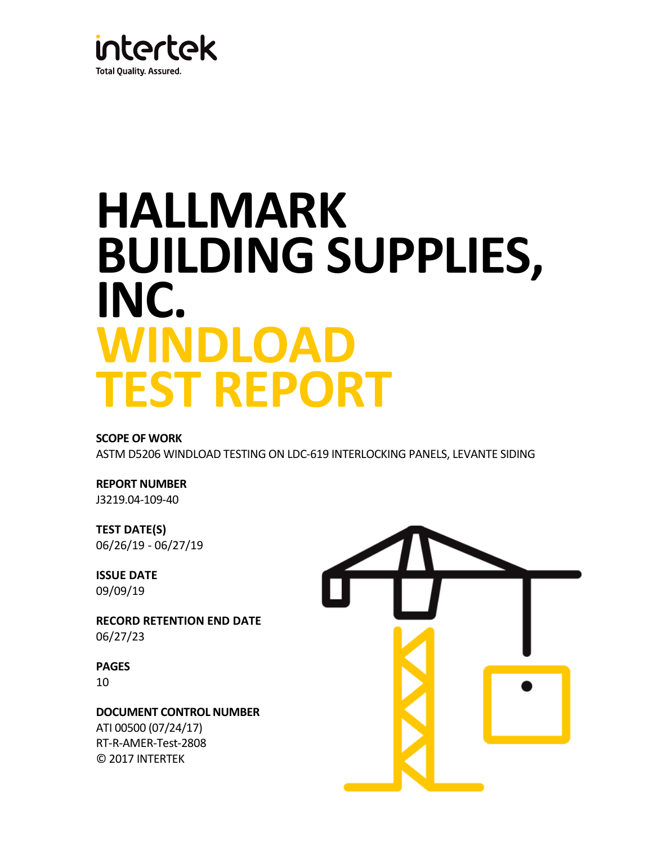

# **HALLMARK BUILDING SUPPLIES, INC. WINDLOAD TEST REPORT**

#### **SCOPE OF WORK**

ASTM D5206 WINDLOAD TESTING ON LDC-619 INTERLOCKING PANELS, LEVANTE SIDING

## **REPORT NUMBER**

J3219.04-109-40

**TEST DATE(S)** 06/26/19 - 06/27/19

**ISSUE DATE** 09/09/19

**RECORD RETENTION END DATE** 06/27/23

**PAGES** 10

**DOCUMENT CONTROL NUMBER** ATI 00500 (07/24/17) RT-R-AMER-Test-2808 © 2017 INTERTEK

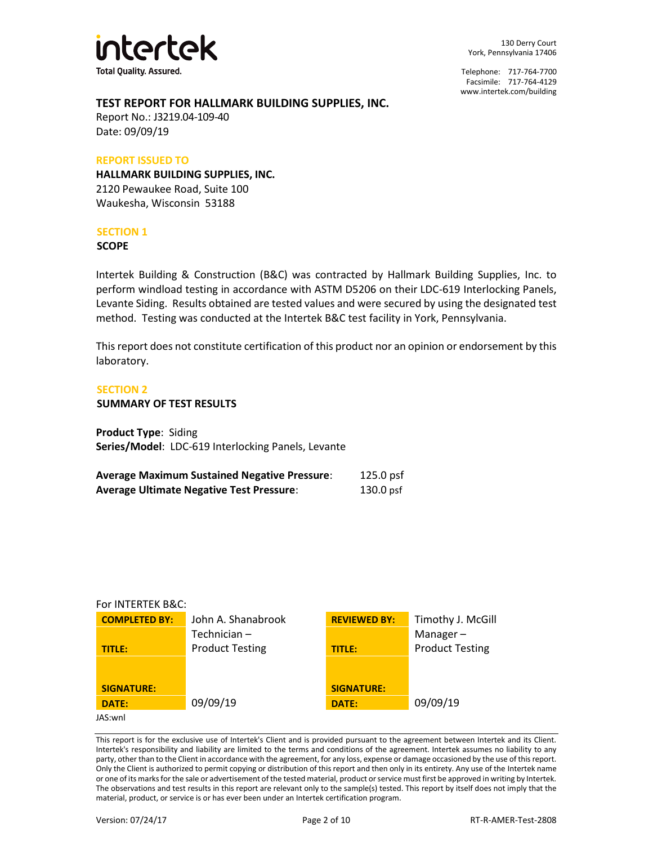

130 Derry Court York, Pennsylvania 17406

Telephone: 717-764-7700 Facsimile: 717-764-4129 [www.intertek.com/building](http://www.intertek.com/building)

#### **TEST REPORT FOR HALLMARK BUILDING SUPPLIES, INC.**

Report No.: J3219.04-109-40 Date: 09/09/19

#### **REPORT ISSUED TO**

**HALLMARK BUILDING SUPPLIES, INC.**  2120 Pewaukee Road, Suite 100 Waukesha, Wisconsin 53188

#### **SECTION 1**

**SCOPE**

Intertek Building & Construction (B&C) was contracted by Hallmark Building Supplies, Inc. to perform windload testing in accordance with ASTM D5206 on their LDC-619 Interlocking Panels, Levante Siding. Results obtained are tested values and were secured by using the designated test method. Testing was conducted at the Intertek B&C test facility in York, Pennsylvania.

This report does not constitute certification of this product nor an opinion or endorsement by this laboratory.

#### **SECTION 2**

#### **SUMMARY OF TEST RESULTS**

**Product Type**: Siding **Series/Model**: LDC-619 Interlocking Panels, Levante

| <b>Average Maximum Sustained Negative Pressure:</b> | $125.0$ psf |
|-----------------------------------------------------|-------------|
| <b>Average Ultimate Negative Test Pressure:</b>     | $130.0$ psf |

#### For INTERTEK B&C:

| <b>COMPLETED BY:</b> | John A. Shanabrook     | <b>REVIEWED BY:</b> | Timothy J. McGill      |
|----------------------|------------------------|---------------------|------------------------|
|                      | Technician-            |                     | Manager $-$            |
| <b>TITLE:</b>        | <b>Product Testing</b> | <b>TITLE:</b>       | <b>Product Testing</b> |
|                      |                        |                     |                        |
|                      |                        |                     |                        |
| <b>SIGNATURE:</b>    |                        | <b>SIGNATURE:</b>   |                        |
| DATE:                | 09/09/19               | <b>DATE:</b>        | 09/09/19               |
| JAS:wnl              |                        |                     |                        |
|                      |                        |                     |                        |

This report is for the exclusive use of Intertek's Client and is provided pursuant to the agreement between Intertek and its Client. Intertek's responsibility and liability are limited to the terms and conditions of the agreement. Intertek assumes no liability to any party, other than to the Client in accordance with the agreement, for any loss, expense or damage occasioned by the use of this report. Only the Client is authorized to permit copying or distribution of this report and then only in its entirety. Any use of the Intertek name or one of its marks for the sale or advertisement of the tested material, product or service must first be approved in writing by Intertek. The observations and test results in this report are relevant only to the sample(s) tested. This report by itself does not imply that the material, product, or service is or has ever been under an Intertek certification program.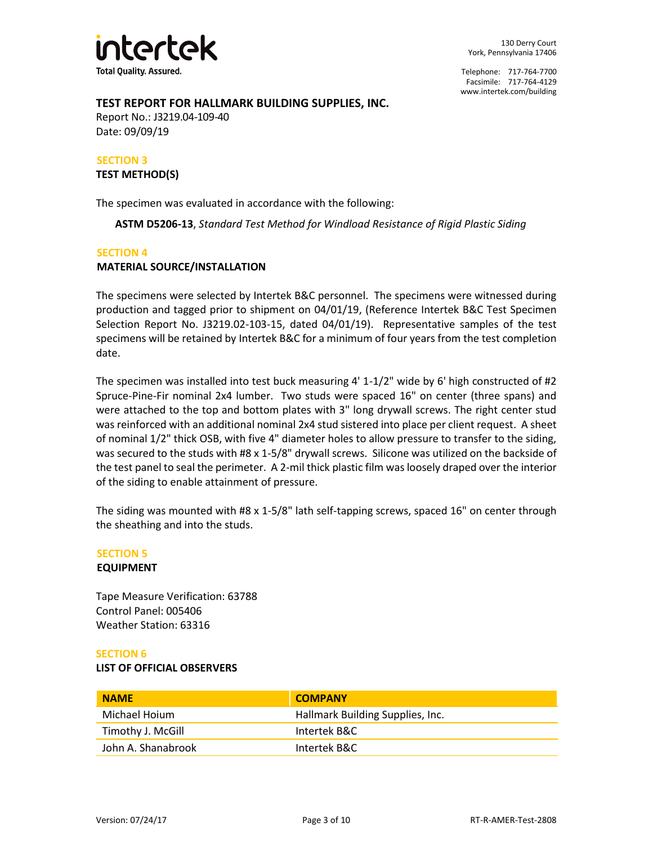

#### **TEST REPORT FOR HALLMARK BUILDING SUPPLIES, INC.**

Report No.: J3219.04-109-40 Date: 09/09/19

# **SECTION 3**

**TEST METHOD(S)**

The specimen was evaluated in accordance with the following:

**ASTM D5206-13**, *Standard Test Method for Windload Resistance of Rigid Plastic Siding* 

#### **SECTION 4**

#### **MATERIAL SOURCE/INSTALLATION**

The specimens were selected by Intertek B&C personnel. The specimens were witnessed during production and tagged prior to shipment on 04/01/19, (Reference Intertek B&C Test Specimen Selection Report No. J3219.02-103-15, dated 04/01/19). Representative samples of the test specimens will be retained by Intertek B&C for a minimum of four years from the test completion date.

The specimen was installed into test buck measuring 4' 1-1/2" wide by 6' high constructed of #2 Spruce-Pine-Fir nominal 2x4 lumber. Two studs were spaced 16" on center (three spans) and were attached to the top and bottom plates with 3" long drywall screws. The right center stud was reinforced with an additional nominal 2x4 stud sistered into place per client request. A sheet of nominal 1/2" thick OSB, with five 4" diameter holes to allow pressure to transfer to the siding, was secured to the studs with #8 x 1-5/8" drywall screws. Silicone was utilized on the backside of the test panel to seal the perimeter. A 2-mil thick plastic film was loosely draped over the interior of the siding to enable attainment of pressure.

The siding was mounted with #8 x 1-5/8" lath self-tapping screws, spaced 16" on center through the sheathing and into the studs.

#### **SECTION 5**

#### **EQUIPMENT**

Tape Measure Verification: 63788 Control Panel: 005406 Weather Station: 63316

#### **SECTION 6**

#### **LIST OF OFFICIAL OBSERVERS**

| <b>NAME</b>        | <b>COMPANY</b>                   |
|--------------------|----------------------------------|
| Michael Hoium      | Hallmark Building Supplies, Inc. |
| Timothy J. McGill  | Intertek B&C                     |
| John A. Shanabrook | Intertek B&C                     |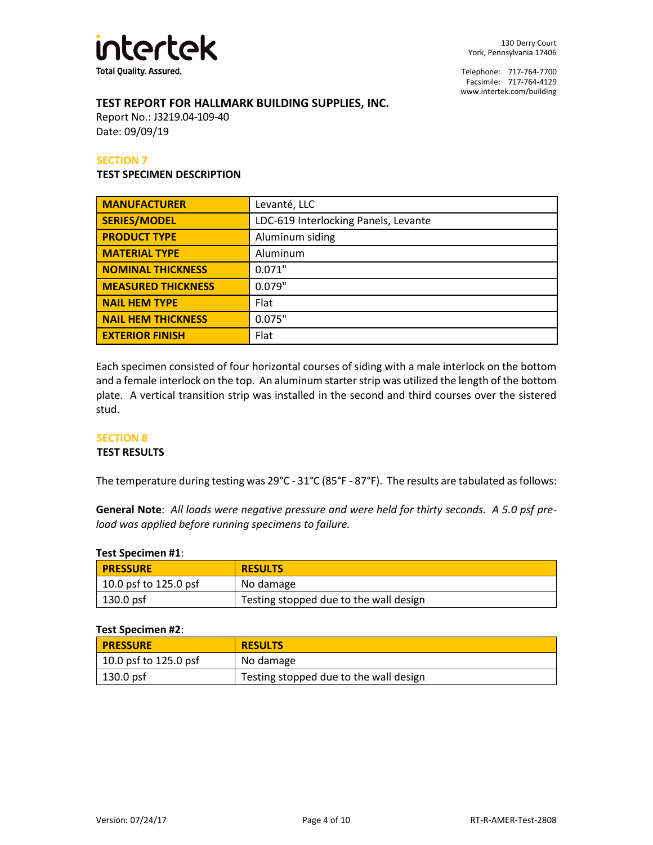

#### **TEST REPORT FOR HALLMARK BUILDING SUPPLIES, INC.**

Report No.: J3219.04-109-40 Date: 09/09/19

#### **SECTION 7**

#### **TEST SPECIMEN DESCRIPTION**

| <b>MANUFACTURER</b>       | Levanté, LLC                         |  |
|---------------------------|--------------------------------------|--|
| <b>SERIES/MODEL</b>       | LDC-619 Interlocking Panels, Levante |  |
| <b>PRODUCT TYPE</b>       | Aluminum siding                      |  |
| <b>MATERIAL TYPE</b>      | Aluminum                             |  |
| <b>NOMINAL THICKNESS</b>  | 0.071"                               |  |
| <b>MEASURED THICKNESS</b> | 0.079"                               |  |
| <b>NAIL HEM TYPE</b>      | Flat                                 |  |
| <b>NAIL HEM THICKNESS</b> | 0.075"                               |  |
| <b>EXTERIOR FINISH</b>    | Flat                                 |  |

Each specimen consisted of four horizontal courses of siding with a male interlock on the bottom and a female interlock on the top. An aluminum starter strip was utilized the length of the bottom plate. A vertical transition strip was installed in the second and third courses over the sistered stud.

#### **SECTION 8**

#### **TEST RESULTS**

The temperature during testing was 29°C - 31°C (85°F - 87°F). The results are tabulated as follows:

**General Note**: *All loads were negative pressure and were held for thirty seconds. A 5.0 psf preload was applied before running specimens to failure.*

| <b>Test Specimen #1:</b> |                                        |  |
|--------------------------|----------------------------------------|--|
| <b>PRESSURE</b>          | <b>RESULTS</b>                         |  |
| 10.0 psf to 125.0 psf    | No damage                              |  |
| 130.0 psf                | Testing stopped due to the wall design |  |

#### **Test Specimen #2**:

| <b>PRESSURE</b>       | <b>RESULTS</b>                         |
|-----------------------|----------------------------------------|
| 10.0 psf to 125.0 psf | No damage                              |
| 130.0 psf             | Testing stopped due to the wall design |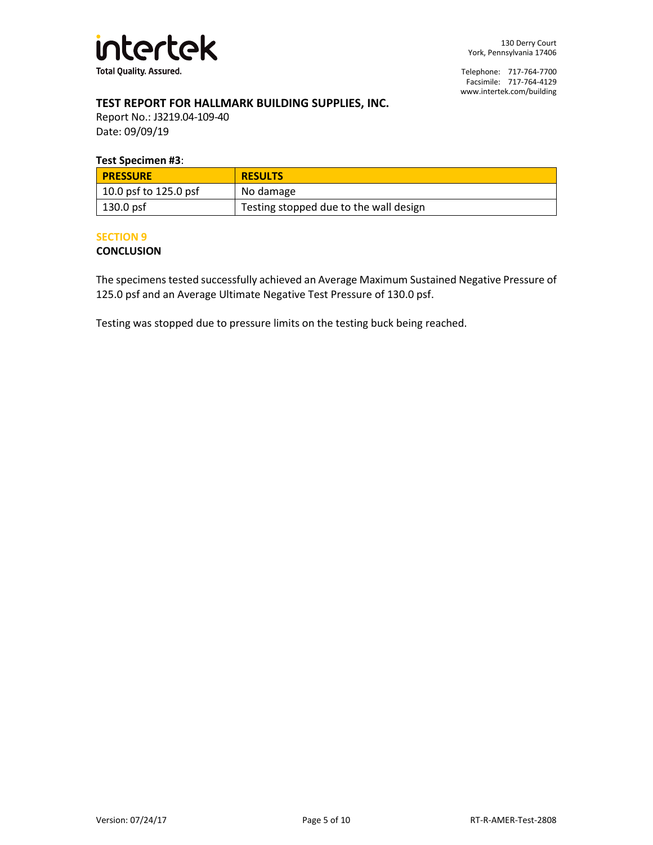

#### **TEST REPORT FOR HALLMARK BUILDING SUPPLIES, INC.**

Report No.: J3219.04-109-40 Date: 09/09/19

#### **Test Specimen #3**:

| <b>PRESSURE</b>               | <b>RESULTS</b>                         |  |
|-------------------------------|----------------------------------------|--|
| $\vert$ 10.0 psf to 125.0 psf | No damage                              |  |
| $\vert$ 130.0 psf             | Testing stopped due to the wall design |  |

#### **SECTION 9**

#### **CONCLUSION**

The specimens tested successfully achieved an Average Maximum Sustained Negative Pressure of 125.0 psf and an Average Ultimate Negative Test Pressure of 130.0 psf.

Testing was stopped due to pressure limits on the testing buck being reached.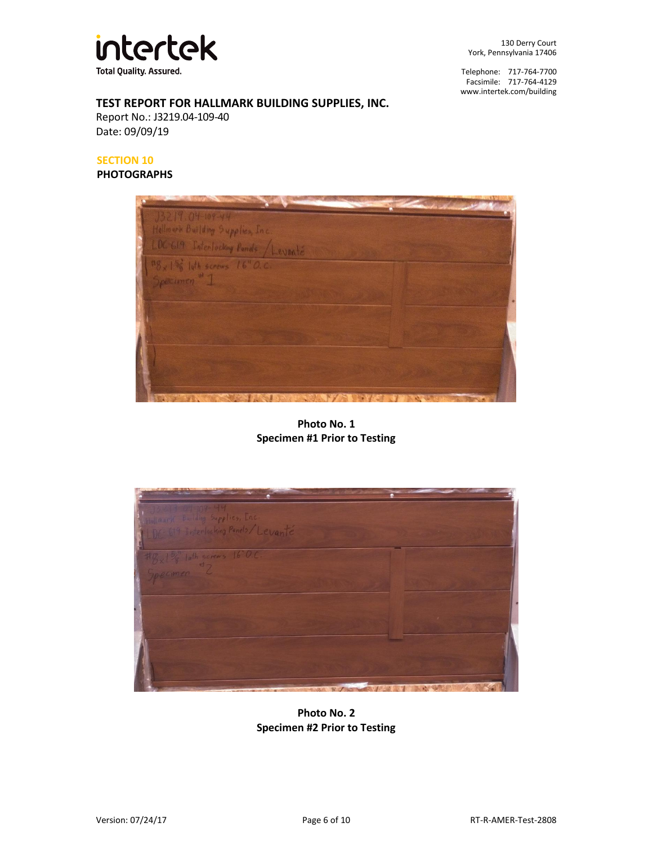

130 Derry Court York, Pennsylvania 17406

Telephone: 717-764-7700 Facsimile: 717-764-4129 [www.intertek.com/building](http://www.intertek.com/building)

#### **TEST REPORT FOR HALLMARK BUILDING SUPPLIES, INC.**

Report No.: J3219.04-109-40 Date: 09/09/19

#### **SECTION 10**

#### **PHOTOGRAPHS**



**Photo No. 1 Specimen #1 Prior to Testing**



**Photo No. 2 Specimen #2 Prior to Testing**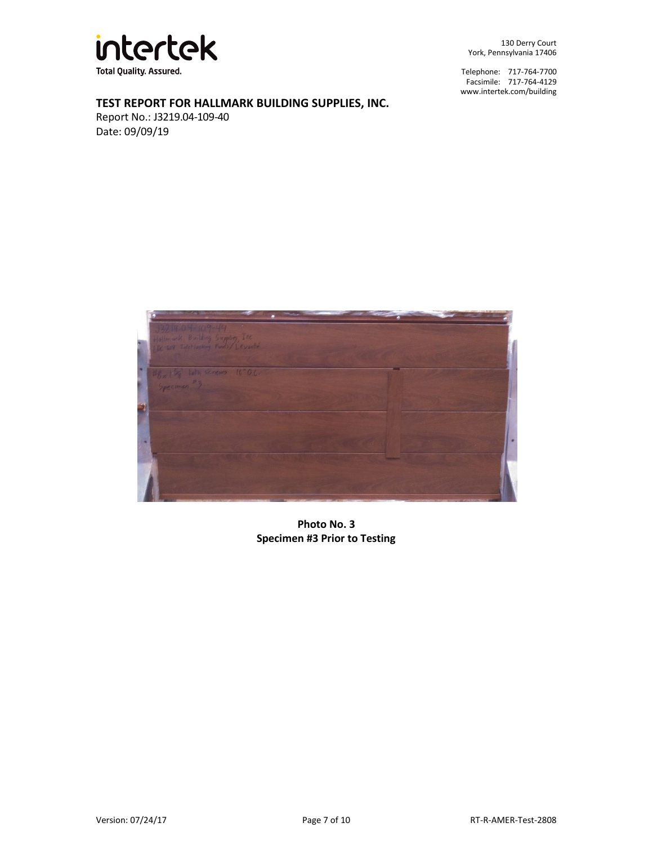

130 Derry Court York, Pennsylvania 17406

Telephone: 717-764-7700 Facsimile: 717-764-4129 [www.intertek.com/building](http://www.intertek.com/building)

### **TEST REPORT FOR HALLMARK BUILDING SUPPLIES, INC.**

Report No.: J3219.04-109-40 Date: 09/09/19



**Photo No. 3 Specimen #3 Prior to Testing**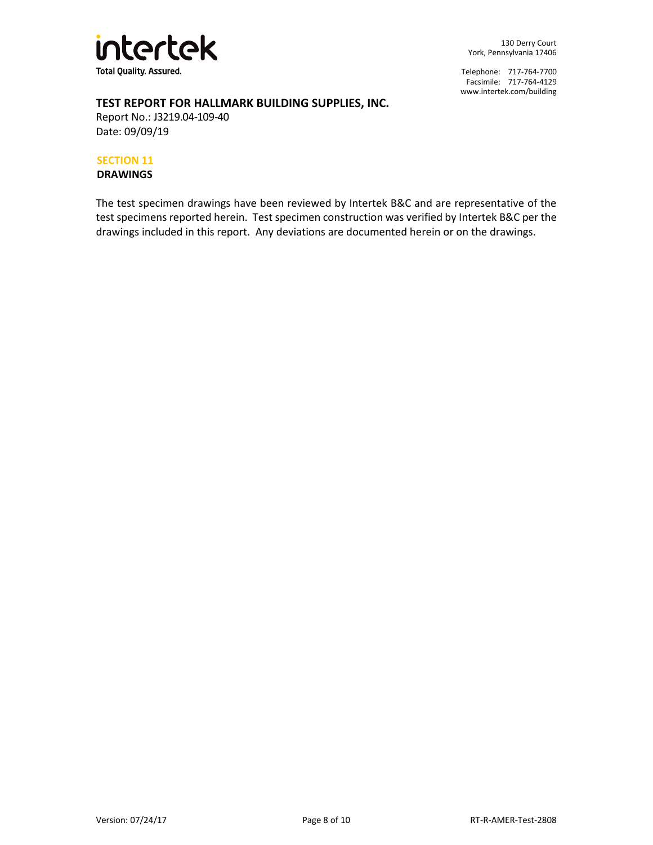

#### **TEST REPORT FOR HALLMARK BUILDING SUPPLIES, INC.**

Report No.: J3219.04-109-40 Date: 09/09/19

#### **SECTION 11**

**DRAWINGS**

The test specimen drawings have been reviewed by Intertek B&C and are representative of the test specimens reported herein. Test specimen construction was verified by Intertek B&C per the drawings included in this report. Any deviations are documented herein or on the drawings.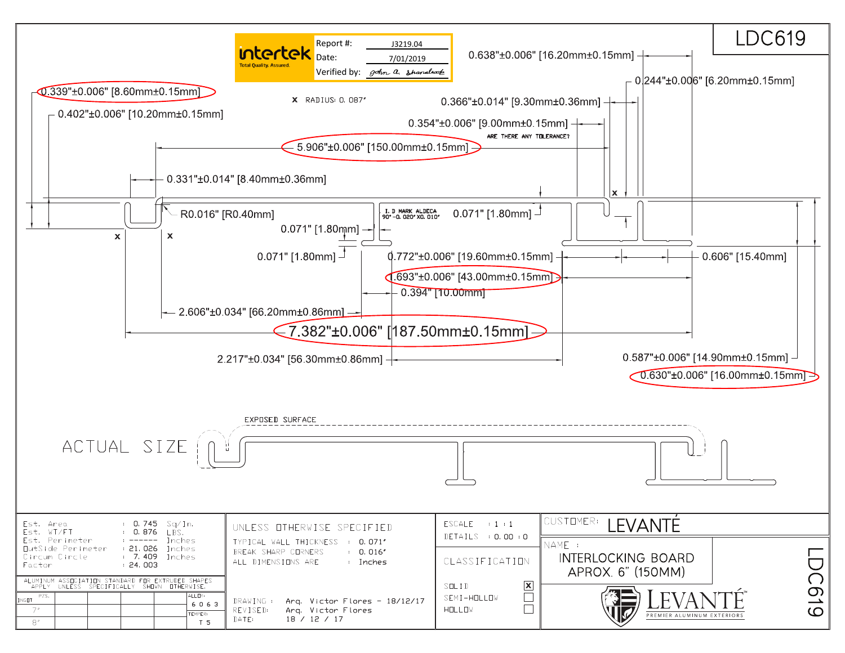